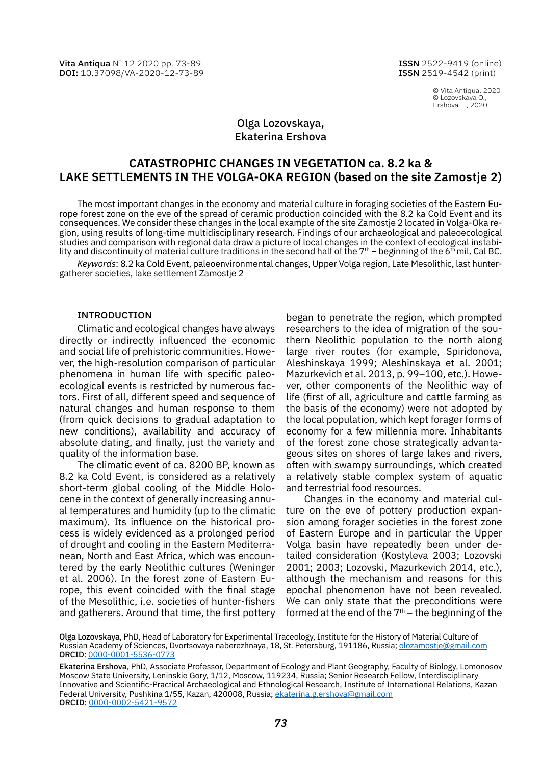Vita Antiqua № 12 2020 pp. 73-89 DOI: [10.37098/VA-2020-12-73-89](https://www.doi.org/10.37098/VA-2020-12-73-89) ISSN 2522-9419 (online) ISSN 2519-4542 (print)

> © Vita Antiqua, 2020 © Lozovskaya O., Ershova E., 2020

# Olga Lozovskaya, Ekaterina Ershova

# **CATASTROPHIC CHANGES IN VEGETATION ca. 8.2 ka & LAKE SETTLEMENTS IN THE VOLGA-OKA REGION (based on the site Zamostje 2)**

The most important changes in the economy and material culture in foraging societies of the Eastern Europe forest zone on the eve of the spread of ceramic production coincided with the 8.2 ka Cold Event and its consequences. We consider these changes in the local example of the site Zamostje 2 located in Volga-Oka region, using results of long-time multidisciplinary research. Findings of our archaeological and paleoecological studies and comparison with regional data draw a picture of local changes in the context of ecological instability and discontinuity of material culture traditions in the second half of the 7<sup>th</sup> – beginning of the 6<sup>th</sup> mil. Cal BC.

*Keywords*: 8.2 ka Cold Event, paleoenvironmental changes, Upper Volga region, Late Mesolithic, last huntergatherer societies, lake settlement Zamostje 2

### INTRODUCTION

Climatic and ecological changes have always directly or indirectly influenced the economic and social life of prehistoric communities. However, the high-resolution comparison of particular phenomena in human life with specific paleoecological events is restricted by numerous factors. First of all, different speed and sequence of natural changes and human response to them (from quick decisions to gradual adaptation to new conditions), availability and accuracy of absolute dating, and finally, just the variety and quality of the information base.

The climatic event of ca. 8200 BP, known as 8.2 ka Cold Event, is considered as a relatively short-term global cooling of the Middle Holocene in the context of generally increasing annual temperatures and humidity (up to the climatic maximum). Its influence on the historical process is widely evidenced as a prolonged period of drought and cooling in the Eastern Mediterranean, North and East Africa, which was encountered by the early Neolithic cultures (Weninger et al. 2006). In the forest zone of Eastern Europe, this event coincided with the final stage of the Mesolithic, i.e. societies of hunter-fishers and gatherers. Around that time, the first pottery

began to penetrate the region, which prompted researchers to the idea of migration of the southern Neolithic population to the north along large river routes (for example, Spiridonova, Aleshinskaya 1999; Aleshinskaya et al. 2001; Mazurkevich et al. 2013, p. 99–100, etc.). However, other components of the Neolithic way of life (first of all, agriculture and cattle farming as the basis of the economy) were not adopted by the local population, which kept forager forms of economy for a few millennia more. Inhabitants of the forest zone chose strategically advantageous sites on shores of large lakes and rivers, often with swampy surroundings, which created a relatively stable complex system of aquatic and terrestrial food resources.

Changes in the economy and material culture on the eve of pottery production expansion among forager societies in the forest zone of Eastern Europe and in particular the Upper Volga basin have repeatedly been under detailed consideration (Kostyleva 2003; Lozovski 2001; 2003; Lozovski, Mazurkevich 2014, etc.), although the mechanism and reasons for this epochal phenomenon have not been revealed. We can only state that the preconditions were formed at the end of the  $7<sup>th</sup>$  – the beginning of the

Olga Lozovskaya, PhD, Head of Laboratory for Experimental Traceology, Institute for the History of Material Culture of Russian Academy of Sciences, Dvortsovaya naberezhnaya, 18, St. Petersburg, 191186, Russia; [olozamostje@gmail.com](mailto:olozamostje%40gmail.com?subject=) ORCID: [0000-0001-5536-0773](https://orcid.org/0000-0001-5536-0773)

Ekaterina Ershova, PhD, Associate Professor, Department of Ecology and Plant Geography, Faculty of Biology, Lomonosov Moscow State University, Leninskie Gory, 1/12, Moscow, 119234, Russia; Senior Research Fellow, Interdisciplinary Innovative and Scientific-Practical Archaeological and Ethnological Research, Institute of International Relations, Kazan Federal University, Pushkina 1/55, Kazan, 420008, Russia; [ekaterina.g.ershova@gmail.com](mailto:ekaterina.g.ershova%40gmail.com?subject=) ORCID: [0000-0002-5421-9572](https://orcid.org/0000-0002-5421-9572)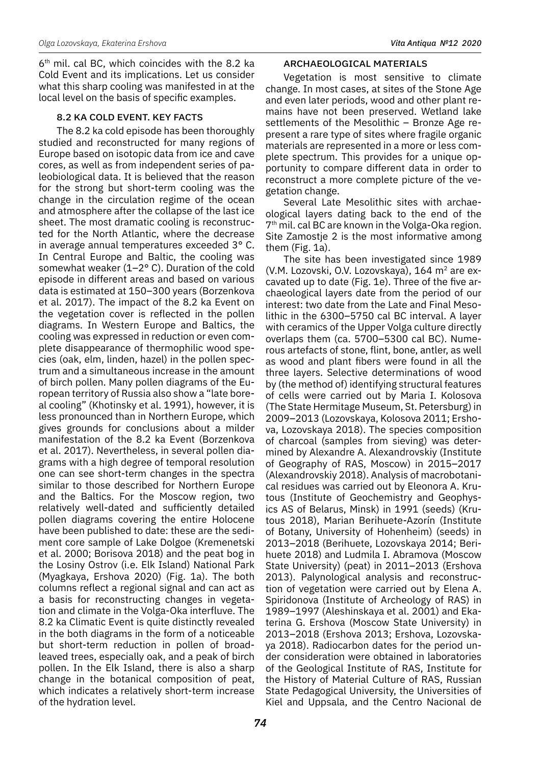$6<sup>th</sup>$  mil. cal BC, which coincides with the 8.2 ka Cold Event and its implications. Let us consider what this sharp cooling was manifested in at the local level on the basis of specific examples.

## 8.2 KA COLD EVENT. KEY FACTS

The 8.2 ka cold episode has been thoroughly studied and reconstructed for many regions of Europe based on isotopic data from ice and cave cores, as well as from independent series of paleobiological data. It is believed that the reason for the strong but short-term cooling was the change in the circulation regime of the ocean and atmosphere after the collapse of the last ice sheet. The most dramatic cooling is reconstructed for the North Atlantic, where the decrease in average annual temperatures exceeded 3° C. In Central Europe and Baltic, the cooling was somewhat weaker (1–2° C). Duration of the cold episode in different areas and based on various data is estimated at 150–300 years (Borzenkova et al. 2017). The impact of the 8.2 ka Event on the vegetation cover is reflected in the pollen diagrams. In Western Europe and Baltics, the cooling was expressed in reduction or even complete disappearance of thermophilic wood species (oak, elm, linden, hazel) in the pollen spectrum and a simultaneous increase in the amount of birch pollen. Many pollen diagrams of the European territory of Russia also show a "late boreal cooling" (Khotinsky et al. 1991), however, it is less pronounced than in Northern Europe, which gives grounds for conclusions about a milder manifestation of the 8.2 ka Event (Borzenkova et al. 2017). Nevertheless, in several pollen diagrams with a high degree of temporal resolution one can see short-term changes in the spectra similar to those described for Northern Europe and the Baltics. For the Moscow region, two relatively well-dated and sufficiently detailed pollen diagrams covering the entire Holocene have been published to date: these are the sediment core sample of Lake Dolgoe (Kremenetski et al. 2000; Borisova 2018) and the peat bog in the Losiny Ostrov (i.e. Elk Island) National Park (Myagkaya, Ershova 2020) (Fig. 1a). The both columns reflect a regional signal and can act as a basis for reconstructing changes in vegetation and climate in the Volga-Oka interfluve. The 8.2 ka Climatic Event is quite distinctly revealed in the both diagrams in the form of a noticeable but short-term reduction in pollen of broadleaved trees, especially oak, and a peak of birch pollen. In the Elk Island, there is also a sharp change in the botanical composition of peat, which indicates a relatively short-term increase of the hydration level.

# ARCHAEOLOGICAL MATERIALS

Vegetation is most sensitive to climate change. In most cases, at sites of the Stone Age and even later periods, wood and other plant remains have not been preserved. Wetland lake settlements of the Mesolithic – Bronze Age represent a rare type of sites where fragile organic materials are represented in a more or less complete spectrum. This provides for a unique opportunity to compare different data in order to reconstruct a more complete picture of the vegetation change.

Several Late Mesolithic sites with archaeological layers dating back to the end of the 7<sup>th</sup> mil. cal BC are known in the Volga-Oka region. Site Zamostje 2 is the most informative among them (Fig. 1a).

The site has been investigated since 1989 (V.M. Lozovski, O.V. Lozovskaya), 164 m<sup>2</sup> are excavated up to date (Fig. 1e). Three of the five archaeological layers date from the period of our interest: two date from the Late and Final Mesolithic in the 6300–5750 cal BC interval. A layer with ceramics of the Upper Volga culture directly overlaps them (ca. 5700–5300 cal BC). Numerous artefacts of stone, flint, bone, antler, as well as wood and plant fibers were found in all the three layers. Selective determinations of wood by (the method of) identifying structural features of cells were carried out by Maria I. Kolosova (The State Hermitage Museum, St. Petersburg) in 2009–2013 (Lozovskaya, Kolosova 2011; Ershova, Lozovskaya 2018). The species composition of charcoal (samples from sieving) was determined by Alexandre A. Alexandrovskiy (Institute of Geography of RAS, Moscow) in 2015–2017 (Alexandrovskiy 2018). Analysis of macrobotanical residues was carried out by Eleonora A. Krutous (Institute of Geochemistry and Geophysics AS of Belarus, Minsk) in 1991 (seeds) (Krutous 2018), Marian Berihuete-Azorín (Institute of Botany, University of Hohenheim) (seeds) in 2013–2018 (Berihuete, Lozovskaya 2014; Berihuete 2018) and Ludmila I. Abramova (Moscow State University) (peat) in 2011–2013 (Ershova 2013). Palynological analysis and reconstruction of vegetation were carried out by Elena A. Spiridonova (Institute of Archeology of RAS) in 1989–1997 (Aleshinskaya et al. 2001) and Ekaterina G. Ershova (Moscow State University) in 2013–2018 (Ershova 2013; Ershova, Lozovskaya 2018). Radiocarbon dates for the period under consideration were obtained in laboratories of the Geological Institute of RAS, Institute for the History of Material Culture of RAS, Russian State Pedagogical University, the Universities of Kiel and Uppsala, and the Centro Nacional de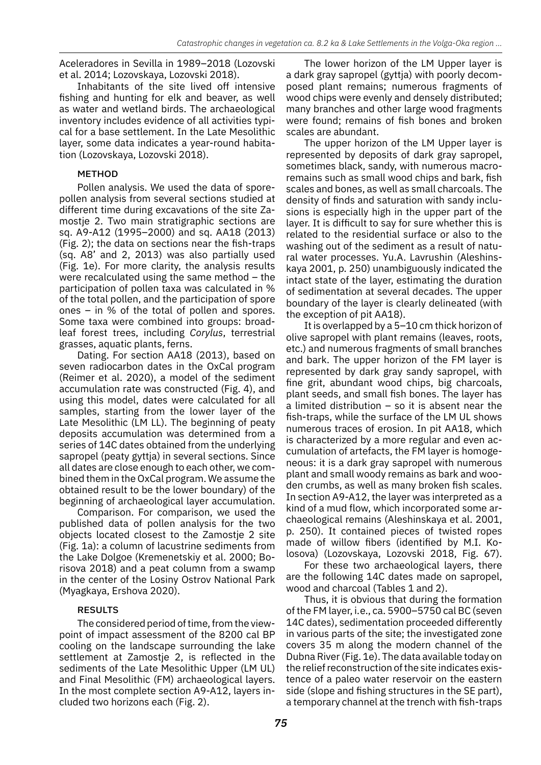Aceleradores in Sevilla in 1989–2018 (Lozovski et al. 2014; Lozovskaya, Lozovski 2018).

Inhabitants of the site lived off intensive fishing and hunting for elk and beaver, as well as water and wetland birds. The archaeological inventory includes evidence of all activities typical for a base settlement. In the Late Mesolithic layer, some data indicates a year-round habitation (Lozovskaya, Lozovski 2018).

# METHOD

Pollen analysis. We used the data of sporepollen analysis from several sections studied at different time during excavations of the site Zamostje 2. Two main stratigraphic sections are sq. A9-A12 (1995–2000) and sq. AA18 (2013) (Fig. 2); the data on sections near the fish-traps (sq. A8' and 2, 2013) was also partially used (Fig. 1e). For more clarity, the analysis results were recalculated using the same method – the participation of pollen taxa was calculated in % of the total pollen, and the participation of spore ones – in % of the total of pollen and spores. Some taxa were combined into groups: broadleaf forest trees, including *Corylus*, terrestrial grasses, aquatic plants, ferns.

Dating. For section AA18 (2013), based on seven radiocarbon dates in the OxCal program (Reimer et al. 2020), a model of the sediment accumulation rate was constructed (Fig. 4), and using this model, dates were calculated for all samples, starting from the lower layer of the Late Mesolithic (LM LL). The beginning of peaty deposits accumulation was determined from a series of 14C dates obtained from the underlying sapropel (peaty gyttja) in several sections. Since all dates are close enough to each other, we combined them in the OxCal program. We assume the obtained result to be the lower boundary) of the beginning of archaeological layer accumulation.

Comparison. For comparison, we used the published data of pollen analysis for the two objects located closest to the Zamostje 2 site (Fig. 1a): a column of lacustrine sediments from the Lake Dolgoe (Kremenetskiy et al. 2000; Borisova 2018) and a peat column from a swamp in the center of the Losiny Ostrov National Park (Myagkaya, Ershova 2020).

# RESULTS

The considered period of time, from the viewpoint of impact assessment of the 8200 cal BP cooling on the landscape surrounding the lake settlement at Zamostje 2, is reflected in the sediments of the Late Mesolithic Upper (LM UL) and Final Mesolithic (FM) archaeological layers. In the most complete section A9-A12, layers included two horizons each (Fig. 2).

The lower horizon of the LM Upper layer is a dark gray sapropel (gyttja) with poorly decomposed plant remains; numerous fragments of wood chips were evenly and densely distributed; many branches and other large wood fragments were found; remains of fish bones and broken scales are abundant.

The upper horizon of the LM Upper layer is represented by deposits of dark gray sapropel, sometimes black, sandy, with numerous macroremains such as small wood chips and bark, fish scales and bones, as well as small charcoals. The density of finds and saturation with sandy inclusions is especially high in the upper part of the layer. It is difficult to say for sure whether this is related to the residential surface or also to the washing out of the sediment as a result of natural water processes. Yu.A. Lavrushin (Aleshinskaya 2001, p. 250) unambiguously indicated the intact state of the layer, estimating the duration of sedimentation at several decades. The upper boundary of the layer is clearly delineated (with the exception of pit AA18).

It is overlapped by a 5–10 cm thick horizon of olive sapropel with plant remains (leaves, roots, etc.) and numerous fragments of small branches and bark. The upper horizon of the FM layer is represented by dark gray sandy sapropel, with fine grit, abundant wood chips, big charcoals, plant seeds, and small fish bones. The layer has a limited distribution  $-$  so it is absent near the fish-traps, while the surface of the LM UL shows numerous traces of erosion. In pit AA18, which is characterized by a more regular and even accumulation of artefacts, the FM layer is homogeneous: it is a dark gray sapropel with numerous plant and small woody remains as bark and wooden crumbs, as well as many broken fish scales. In section A9-A12, the layer was interpreted as a kind of a mud flow, which incorporated some archaeological remains (Aleshinskaya et al. 2001, p. 250). It contained pieces of twisted ropes made of willow fibers (identified by M.I. Kolosova) (Lozovskaya, Lozovski 2018, Fig. 67).

For these two archaeological layers, there are the following 14C dates made on sapropel, wood and charcoal (Tables 1 and 2).

Thus, it is obvious that during the formation of the FM layer, i.e., ca. 5900–5750 cal BC (seven 14C dates), sedimentation proceeded differently in various parts of the site; the investigated zone covers 35 m along the modern channel of the Dubna River (Fig. 1e). The data available today on the relief reconstruction of the site indicates existence of a paleo water reservoir on the eastern side (slope and fishing structures in the SE part), a temporary channel at the trench with fish-traps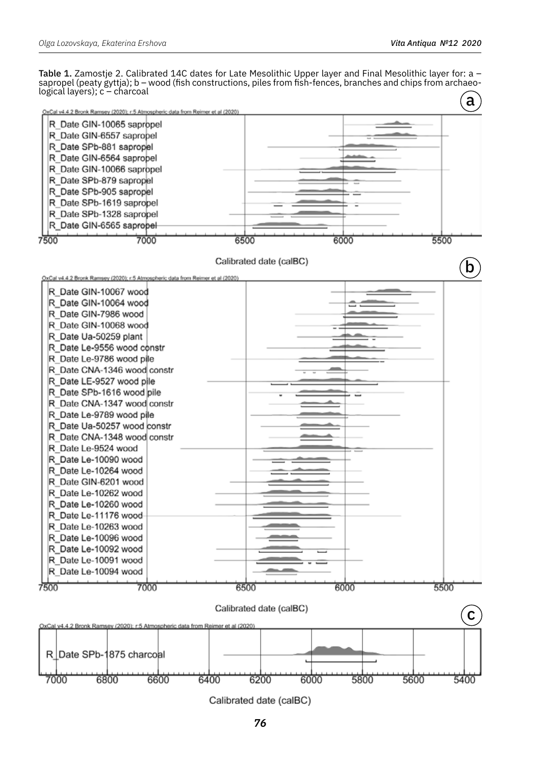Table 1. Zamostje 2. Calibrated 14C dates for Late Mesolithic Upper layer and Final Mesolithic layer for: a – sapropel (peaty gyttja); b – wood (fish constructions, piles from fish-fences, branches and chips from archaeological layers); c – charcoal



Calibrated date (calBC)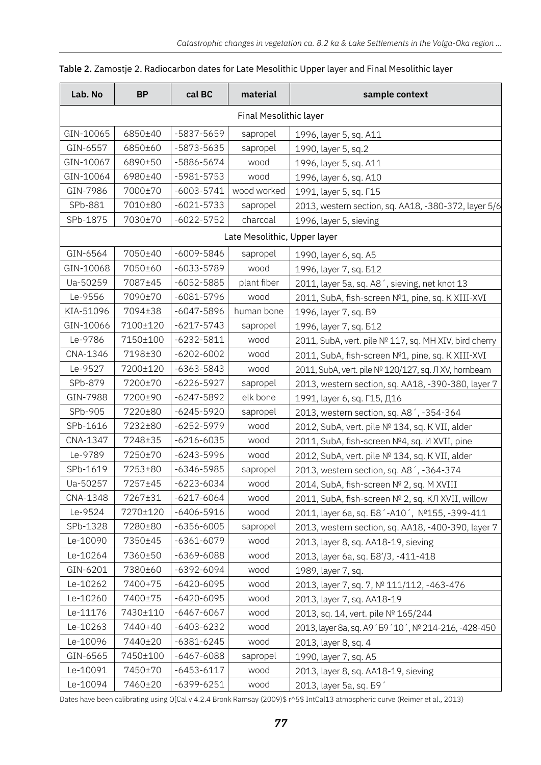| Lab. No                      | <b>BP</b> | cal BC         | material    | sample context                                             |
|------------------------------|-----------|----------------|-------------|------------------------------------------------------------|
| Final Mesolithic layer       |           |                |             |                                                            |
| GIN-10065                    | 6850±40   | -5837-5659     | sapropel    | 1996, layer 5, sq. A11                                     |
| GIN-6557                     | 6850±60   | -5873-5635     | sapropel    | 1990, layer 5, sq.2                                        |
| GIN-10067                    | 6890±50   | -5886-5674     | wood        | 1996, layer 5, sq. A11                                     |
| GIN-10064                    | 6980±40   | $-5981 - 5753$ | wood        | 1996, layer 6, sq. A10                                     |
| GIN-7986                     | 7000±70   | $-6003 - 5741$ | wood worked | 1991, layer 5, sq. [15                                     |
| SPb-881                      | 7010±80   | $-6021 - 5733$ | sapropel    | 2013, western section, sq. AA18, -380-372, layer 5/6       |
| SPb-1875                     | 7030±70   | $-6022 - 5752$ | charcoal    | 1996, layer 5, sieving                                     |
| Late Mesolithic, Upper layer |           |                |             |                                                            |
| GIN-6564                     | 7050±40   | $-6009 - 5846$ | sapropel    | 1990, layer 6, sq. A5                                      |
| GIN-10068                    | 7050±60   | $-6033 - 5789$ | wood        | 1996, layer 7, sq. 512                                     |
| Ua-50259                     | 7087±45   | $-6052 - 5885$ | plant fiber | 2011, layer 5a, sq. A8 <sup>'</sup> , sieving, net knot 13 |
| Le-9556                      | 7090±70   | $-6081 - 5796$ | wood        | 2011, SubA, fish-screen Nº1, pine, sq. K XIII-XVI          |
| KIA-51096                    | 7094±38   | $-6047 - 5896$ | human bone  | 1996, layer 7, sq. B9                                      |
| GIN-10066                    | 7100±120  | $-6217 - 5743$ | sapropel    | 1996, layer 7, sq. 512                                     |
| Le-9786                      | 7150±100  | $-6232 - 5811$ | wood        | 2011, SubA, vert. pile № 117, sq. MH XIV, bird cherry      |
| CNA-1346                     | 7198±30   | $-6202 - 6002$ | wood        | 2011, SubA, fish-screen Nº1, pine, sq. K XIII-XVI          |
| Le-9527                      | 7200±120  | $-6363 - 5843$ | wood        | 2011, SubA, vert. pile Nº 120/127, sq. Л XV, hornbeam      |
| SPb-879                      | 7200±70   | $-6226 - 5927$ | sapropel    | 2013, western section, sq. AA18, -390-380, layer 7         |
| GIN-7988                     | 7200±90   | $-6247 - 5892$ | elk bone    | 1991, layer 6, sq. Г15, Д16                                |
| SPb-905                      | 7220±80   | $-6245 - 5920$ | sapropel    | 2013, western section, sq. A8 <sup>'</sup> , -354-364      |
| SPb-1616                     | 7232±80   | $-6252 - 5979$ | wood        | 2012, SubA, vert. pile Nº 134, sq. K VII, alder            |
| CNA-1347                     | 7248±35   | $-6216 - 6035$ | wood        | 2011, SubA, fish-screen Nº4, sq. <i>И</i> XVII, pine       |
| Le-9789                      | 7250±70   | $-6243 - 5996$ | wood        | 2012, SubA, vert. pile Nº 134, sq. K VII, alder            |
| SPb-1619                     | 7253±80   | $-6346 - 5985$ | sapropel    | 2013, western section, sq. A8 <sup>'</sup> , -364-374      |
| Ua-50257                     | 7257±45   | $-6223 - 6034$ | wood        | 2014, SubA, fish-screen Nº 2, sq. M XVIII                  |
| CNA-1348                     | 7267±31   | $-6217 - 6064$ | wood        | 2011, SubA, fish-screen № 2, sq. КЛ XVII, willow           |
| Le-9524                      | 7270±120  | $-6406 - 5916$ | wood        | 2011, layer 6a, sq. 58 '-A10', №155, -399-411              |
| SPb-1328                     | 7280±80   | $-6356 - 6005$ | sapropel    | 2013, western section, sq. AA18, -400-390, layer 7         |
| Le-10090                     | 7350±45   | $-6361 - 6079$ | wood        | 2013, layer 8, sq. AA18-19, sieving                        |
| Le-10264                     | 7360±50   | $-6369 - 6088$ | wood        | 2013, layer 6a, sq. 58'/3, -411-418                        |
| GIN-6201                     | 7380±60   | $-6392 - 6094$ | wood        | 1989, layer 7, sq.                                         |
| Le-10262                     | 7400+75   | $-6420 - 6095$ | wood        | 2013, layer 7, sq. 7, Nº 111/112, -463-476                 |
| Le-10260                     | 7400±75   | $-6420 - 6095$ | wood        | 2013, layer 7, sq. AA18-19                                 |
| Le-11176                     | 7430±110  | $-6467 - 6067$ | wood        | 2013, sq. 14, vert. pile Nº 165/244                        |
| Le-10263                     | 7440+40   | $-6403 - 6232$ | wood        | 2013, layer 8a, sq. A9 ' 59 ' 10 ', № 214-216, -428-450    |
| Le-10096                     | 7440±20   | $-6381 - 6245$ | wood        | 2013, layer 8, sq. 4                                       |
| GIN-6565                     | 7450±100  | $-6467 - 6088$ | sapropel    | 1990, layer 7, sq. A5                                      |
| Le-10091                     | 7450±70   | $-6453 - 6117$ | wood        | 2013, layer 8, sq. AA18-19, sieving                        |
| Le-10094                     | 7460±20   | $-6399 - 6251$ | wood        | 2013, layer 5a, sq. 59'                                    |

### Table 2. Zamostje 2. Radiocarbon dates for Late Mesolithic Upper layer and Final Mesolithic layer

r

Dates have been calibrating using O[Cal v 4.2.4 Bronk Ramsay (2009)\$ r^5\$ IntCal13 atmospheric curve (Reimer et al., 2013)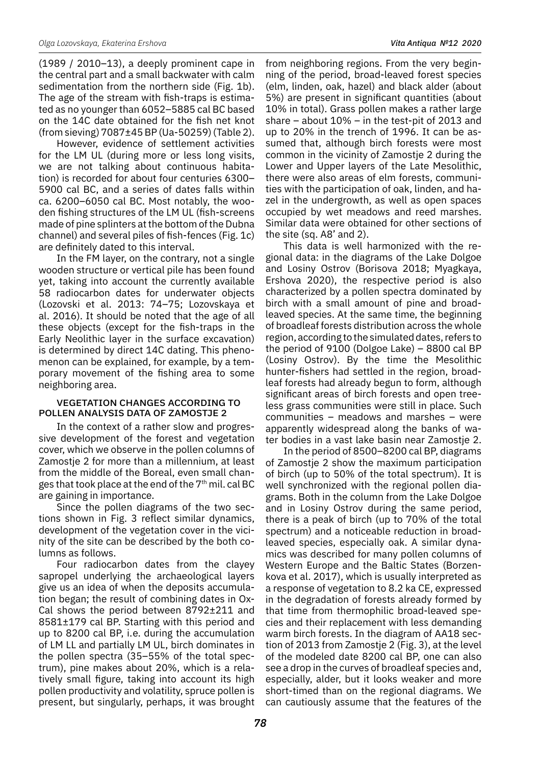(1989 / 2010–13), a deeply prominent cape in the central part and a small backwater with calm sedimentation from the northern side (Fig. 1b). The age of the stream with fish-traps is estimated as no younger than 6052–5885 cal BC based on the 14C date obtained for the fish net knot (from sieving) 7087±45 BP (Ua-50259) (Table 2).

However, evidence of settlement activities for the LM UL (during more or less long visits, we are not talking about continuous habitation) is recorded for about four centuries 6300– 5900 cal BC, and a series of dates falls within ca. 6200–6050 cal BC. Most notably, the wooden fishing structures of the LM UL (fish-screens made of pine splinters at the bottom of the Dubna channel) and several piles of fish-fences (Fig. 1c) are definitely dated to this interval.

In the FM layer, on the contrary, not a single wooden structure or vertical pile has been found yet, taking into account the currently available 58 radiocarbon dates for underwater objects (Lozovski et al. 2013: 74–75; Lozovskaya et al. 2016). It should be noted that the age of all these objects (except for the fish-traps in the Early Neolithic layer in the surface excavation) is determined by direct 14C dating. This phenomenon can be explained, for example, by a temporary movement of the fishing area to some neighboring area.

#### VEGETATION CHANGES ACCORDING TO POLLEN ANALYSIS DATA OF ZAMOSTJE 2

In the context of a rather slow and progressive development of the forest and vegetation cover, which we observe in the pollen columns of Zamostie 2 for more than a millennium, at least from the middle of the Boreal, even small changes that took place at the end of the  $7<sup>th</sup>$  mil. cal BC are gaining in importance.

Since the pollen diagrams of the two sections shown in Fig. 3 reflect similar dynamics, development of the vegetation cover in the vicinity of the site can be described by the both columns as follows.

Four radiocarbon dates from the clayey sapropel underlying the archaeological layers give us an idea of when the deposits accumulation began; the result of combining dates in Ox-Cal shows the period between 8792±211 and 8581±179 cal BP. Starting with this period and up to 8200 cal BP, i.e. during the accumulation of LM LL and partially LM UL, birch dominates in the pollen spectra (35–55% of the total spectrum), pine makes about 20%, which is a relatively small figure, taking into account its high pollen productivity and volatility, spruce pollen is present, but singularly, perhaps, it was brought from neighboring regions. From the very beginning of the period, broad-leaved forest species (elm, linden, oak, hazel) and black alder (about 5%) are present in significant quantities (about 10% in total). Grass pollen makes a rather large share – about 10% – in the test-pit of 2013 and up to 20% in the trench of 1996. It can be assumed that, although birch forests were most common in the vicinity of Zamostje 2 during the Lower and Upper layers of the Late Mesolithic, there were also areas of elm forests, communities with the participation of oak, linden, and hazel in the undergrowth, as well as open spaces occupied by wet meadows and reed marshes. Similar data were obtained for other sections of the site (sq. A8' and 2).

This data is well harmonized with the regional data: in the diagrams of the Lake Dolgoe and Losiny Ostrov (Borisova 2018; Myagkaya, Ershova 2020), the respective period is also characterized by a pollen spectra dominated by birch with a small amount of pine and broadleaved species. At the same time, the beginning of broadleaf forests distribution across the whole region, according to the simulated dates, refers to the period of 9100 (Dolgoe Lake) – 8800 cal BP (Losiny Ostrov). By the time the Mesolithic hunter-fishers had settled in the region, broadleaf forests had already begun to form, although significant areas of birch forests and open treeless grass communities were still in place. Such communities – meadows and marshes – were apparently widespread along the banks of water bodies in a vast lake basin near Zamostje 2.

In the period of 8500–8200 cal BP, diagrams of Zamostje 2 show the maximum participation of birch (up to 50% of the total spectrum). It is well synchronized with the regional pollen diagrams. Both in the column from the Lake Dolgoe and in Losiny Ostrov during the same period, there is a peak of birch (up to 70% of the total spectrum) and a noticeable reduction in broadleaved species, especially oak. A similar dynamics was described for many pollen columns of Western Europe and the Baltic States (Borzenkova et al. 2017), which is usually interpreted as a response of vegetation to 8.2 ka CE, expressed in the degradation of forests already formed by that time from thermophilic broad-leaved species and their replacement with less demanding warm birch forests. In the diagram of AA18 section of 2013 from Zamostje 2 (Fig. 3), at the level of the modeled date 8200 cal BP, one can also see a drop in the curves of broadleaf species and, especially, alder, but it looks weaker and more short-timed than on the regional diagrams. We can cautiously assume that the features of the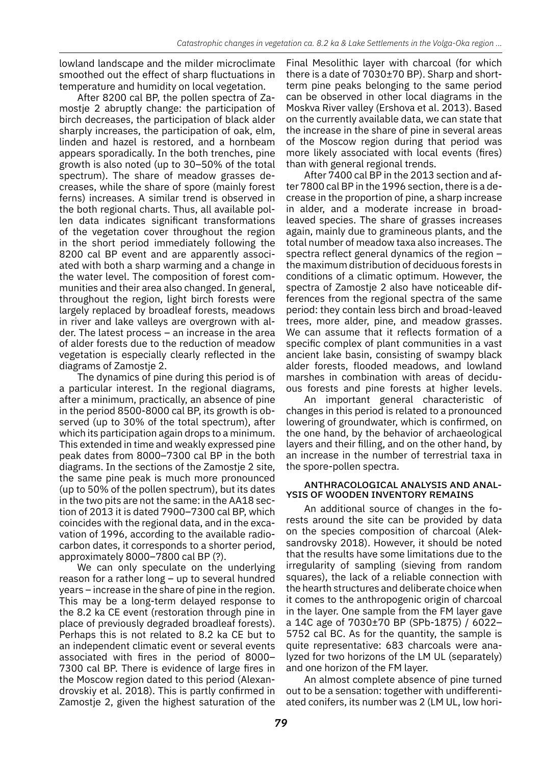lowland landscape and the milder microclimate smoothed out the effect of sharp fluctuations in temperature and humidity on local vegetation.

After 8200 cal BP, the pollen spectra of Zamostje 2 abruptly change: the participation of birch decreases, the participation of black alder sharply increases, the participation of oak, elm, linden and hazel is restored, and a hornbeam appears sporadically. In the both trenches, pine growth is also noted (up to 30–50% of the total spectrum). The share of meadow grasses decreases, while the share of spore (mainly forest ferns) increases. A similar trend is observed in the both regional charts. Thus, all available pollen data indicates significant transformations of the vegetation cover throughout the region in the short period immediately following the 8200 cal BP event and are apparently associated with both a sharp warming and a change in the water level. The composition of forest communities and their area also changed. In general, throughout the region, light birch forests were largely replaced by broadleaf forests, meadows in river and lake valleys are overgrown with alder. The latest process – an increase in the area of alder forests due to the reduction of meadow vegetation is especially clearly reflected in the diagrams of Zamostje 2.

The dynamics of pine during this period is of a particular interest. In the regional diagrams, after a minimum, practically, an absence of pine in the period 8500-8000 cal BP, its growth is observed (up to 30% of the total spectrum), after which its participation again drops to a minimum. This extended in time and weakly expressed pine peak dates from 8000–7300 cal BP in the both diagrams. In the sections of the Zamostje 2 site, the same pine peak is much more pronounced (up to 50% of the pollen spectrum), but its dates in the two pits are not the same: in the AA18 section of 2013 it is dated 7900–7300 cal BP, which coincides with the regional data, and in the excavation of 1996, according to the available radiocarbon dates, it corresponds to a shorter period, approximately 8000–7800 cal BP (?).

We can only speculate on the underlying reason for a rather long – up to several hundred years – increase in the share of pine in the region. This may be a long-term delayed response to the 8.2 ka CE event (restoration through pine in place of previously degraded broadleaf forests). Perhaps this is not related to 8.2 ka CE but to an independent climatic event or several events associated with fires in the period of 8000– 7300 cal BP. There is evidence of large fires in the Moscow region dated to this period (Alexandrovskiy et al. 2018). This is partly confirmed in Zamostje 2, given the highest saturation of the

Final Mesolithic layer with charcoal (for which there is a date of 7030±70 BP). Sharp and shortterm pine peaks belonging to the same period can be observed in other local diagrams in the Moskva River valley (Ershova et al. 2013). Based on the currently available data, we can state that the increase in the share of pine in several areas of the Moscow region during that period was more likely associated with local events (fires) than with general regional trends.

After 7400 cal BP in the 2013 section and after 7800 cal BP in the 1996 section, there is a decrease in the proportion of pine, a sharp increase in alder, and a moderate increase in broadleaved species. The share of grasses increases again, mainly due to gramineous plants, and the total number of meadow taxa also increases. The spectra reflect general dynamics of the region – the maximum distribution of deciduous forests in conditions of a climatic optimum. However, the spectra of Zamostje 2 also have noticeable differences from the regional spectra of the same period: they contain less birch and broad-leaved trees, more alder, pine, and meadow grasses. We can assume that it reflects formation of a specific complex of plant communities in a vast ancient lake basin, consisting of swampy black alder forests, flooded meadows, and lowland marshes in combination with areas of deciduous forests and pine forests at higher levels.

An important general characteristic of changes in this period is related to a pronounced lowering of groundwater, which is confirmed, on the one hand, by the behavior of archaeological layers and their filling, and on the other hand, by an increase in the number of terrestrial taxa in the spore-pollen spectra.

### ANTHRACOLOGICAL ANALYSIS AND ANAL-YSIS OF WOODEN INVENTORY REMAINS

An additional source of changes in the forests around the site can be provided by data on the species composition of charcoal (Aleksandrovsky 2018). However, it should be noted that the results have some limitations due to the irregularity of sampling (sieving from random squares), the lack of a reliable connection with the hearth structures and deliberate choice when it comes to the anthropogenic origin of charcoal in the layer. One sample from the FM layer gave a 14C age of 7030±70 BP (SPb-1875) / 6022– 5752 cal BC. As for the quantity, the sample is quite representative: 683 charcoals were analyzed for two horizons of the LM UL (separately) and one horizon of the FM layer.

An almost complete absence of pine turned out to be a sensation: together with undifferentiated conifers, its number was 2 (LM UL, low hori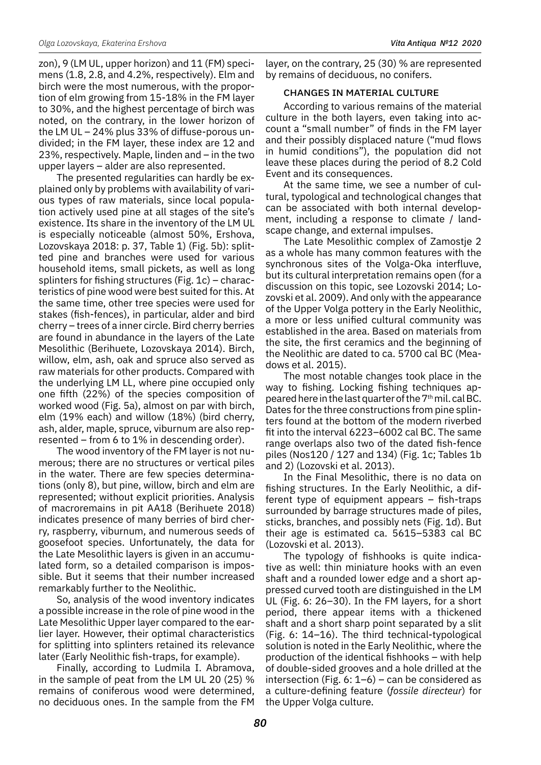zon), 9 (LM UL, upper horizon) and 11 (FM) specimens (1.8, 2.8, and 4.2%, respectively). Elm and birch were the most numerous, with the proportion of elm growing from 15-18% in the FM layer to 30%, and the highest percentage of birch was noted, on the contrary, in the lower horizon of the LM UL – 24% plus 33% of diffuse-porous undivided; in the FM layer, these index are 12 and 23%, respectively. Maple, linden and – in the two upper layers – alder are also represented.

The presented regularities can hardly be explained only by problems with availability of various types of raw materials, since local population actively used pine at all stages of the site's existence. Its share in the inventory of the LM UL is especially noticeable (almost 50%, Ershova, Lozovskaya 2018: p. 37, Table 1) (Fig. 5b): splitted pine and branches were used for various household items, small pickets, as well as long splinters for fishing structures (Fig. 1c) – characteristics of pine wood were best suited for this. At the same time, other tree species were used for stakes (fish-fences), in particular, alder and bird cherry – trees of a inner circle. Bird cherry berries are found in abundance in the layers of the Late Mesolithic (Berihuete, Lozovskaya 2014). Birch, willow, elm, ash, oak and spruce also served as raw materials for other products. Compared with the underlying LM LL, where pine occupied only one fifth (22%) of the species composition of worked wood (Fig. 5a), almost on par with birch, elm (19% each) and willow (18%) (bird cherry, ash, alder, maple, spruce, viburnum are also represented – from 6 to 1% in descending order).

The wood inventory of the FM layer is not numerous; there are no structures or vertical piles in the water. There are few species determinations (only 8), but pine, willow, birch and elm are represented; without explicit priorities. Analysis of macroremains in pit AA18 (Berihuete 2018) indicates presence of many berries of bird cherry, raspberry, viburnum, and numerous seeds of goosefoot species. Unfortunately, the data for the Late Mesolithic layers is given in an accumulated form, so a detailed comparison is impossible. But it seems that their number increased remarkably further to the Neolithic.

So, analysis of the wood inventory indicates a possible increase in the role of pine wood in the Late Mesolithic Upper layer compared to the earlier layer. However, their optimal characteristics for splitting into splinters retained its relevance later (Early Neolithic fish-traps, for example).

Finally, according to Ludmila I. Abramova, in the sample of peat from the LM UL 20 (25) % remains of coniferous wood were determined, no deciduous ones. In the sample from the FM layer, on the contrary, 25 (30) % are represented by remains of deciduous, no conifers.

### CHANGES IN MATERIAL CULTURE

According to various remains of the material culture in the both layers, even taking into account a "small number" of finds in the FM layer and their possibly displaced nature ("mud flows in humid conditions"), the population did not leave these places during the period of 8.2 Cold Event and its consequences.

At the same time, we see a number of cultural, typological and technological changes that can be associated with both internal development, including a response to climate / landscape change, and external impulses.

The Late Mesolithic complex of Zamostje 2 as a whole has many common features with the synchronous sites of the Volga-Oka interfluve, but its cultural interpretation remains open (for a discussion on this topic, see Lozovski 2014; Lozovski et al. 2009). And only with the appearance of the Upper Volga pottery in the Early Neolithic, a more or less unified cultural community was established in the area. Based on materials from the site, the first ceramics and the beginning of the Neolithic are dated to ca. 5700 cal BC (Meadows et al. 2015).

The most notable changes took place in the way to fishing. Locking fishing techniques appeared here in the last quarter of the  $7<sup>th</sup>$  mil. cal BC. Dates for the three constructions from pine splinters found at the bottom of the modern riverbed fit into the interval 6223–6002 cal BC. The same range overlaps also two of the dated fish-fence piles (Nos120 / 127 and 134) (Fig. 1c; Tables 1b and 2) (Lozovski et al. 2013).

In the Final Mesolithic, there is no data on fishing structures. In the Early Neolithic, a different type of equipment appears – fish-traps surrounded by barrage structures made of piles, sticks, branches, and possibly nets (Fig. 1d). But their age is estimated ca. 5615–5383 cal BC (Lozovski et al. 2013).

The typology of fishhooks is quite indicative as well: thin miniature hooks with an even shaft and a rounded lower edge and a short appressed curved tooth are distinguished in the LM UL (Fig. 6: 26–30). In the FM layers, for a short period, there appear items with a thickened shaft and a short sharp point separated by a slit (Fig. 6: 14–16). The third technical-typological solution is noted in the Early Neolithic, where the production of the identical fishhooks – with help of double-sided grooves and a hole drilled at the intersection (Fig. 6:  $1-6$ ) – can be considered as a culture-defining feature (*fossile directeur*) for the Upper Volga culture.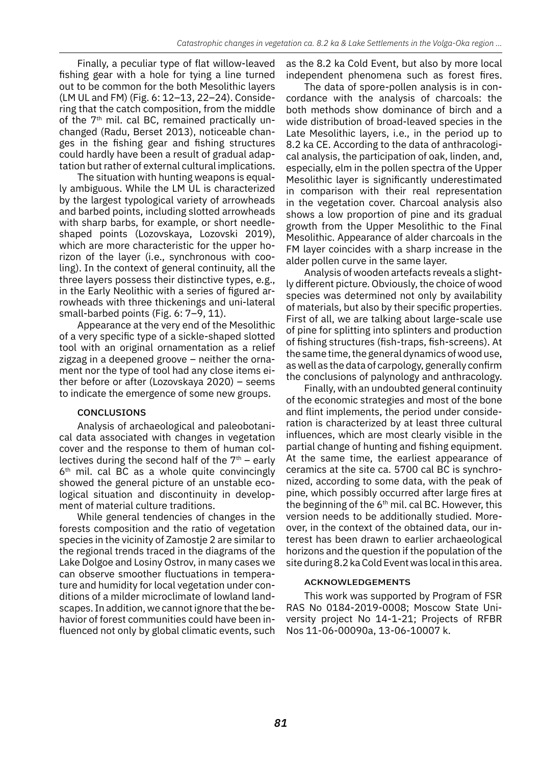Finally, a peculiar type of flat willow-leaved fishing gear with a hole for tying a line turned out to be common for the both Mesolithic layers (LM UL and FM) (Fig. 6: 12–13, 22–24). Considering that the catch composition, from the middle of the  $7<sup>th</sup>$  mil. cal BC, remained practically unchanged (Radu, Berset 2013), noticeable changes in the fishing gear and fishing structures could hardly have been a result of gradual adaptation but rather of external cultural implications.

The situation with hunting weapons is equally ambiguous. While the LM UL is characterized by the largest typological variety of arrowheads and barbed points, including slotted arrowheads with sharp barbs, for example, or short needleshaped points (Lozovskaya, Lozovski 2019), which are more characteristic for the upper horizon of the layer (i.e., synchronous with cooling). In the context of general continuity, all the three layers possess their distinctive types, e.g., in the Early Neolithic with a series of figured arrowheads with three thickenings and uni-lateral small-barbed points (Fig. 6: 7–9, 11).

Appearance at the very end of the Mesolithic of a very specific type of a sickle-shaped slotted tool with an original ornamentation as a relief zigzag in a deepened groove – neither the ornament nor the type of tool had any close items either before or after (Lozovskaya 2020) – seems to indicate the emergence of some new groups.

### **CONCLUSIONS**

Analysis of archaeological and paleobotanical data associated with changes in vegetation cover and the response to them of human collectives during the second half of the  $7<sup>th</sup>$  – early  $6<sup>th</sup>$  mil. cal BC as a whole quite convincingly showed the general picture of an unstable ecological situation and discontinuity in development of material culture traditions.

While general tendencies of changes in the forests composition and the ratio of vegetation species in the vicinity of Zamostje 2 are similar to the regional trends traced in the diagrams of the Lake Dolgoe and Losiny Ostrov, in many cases we can observe smoother fluctuations in temperature and humidity for local vegetation under conditions of a milder microclimate of lowland landscapes. In addition, we cannot ignore that the behavior of forest communities could have been influenced not only by global climatic events, such as the 8.2 ka Cold Event, but also by more local independent phenomena such as forest fires.

The data of spore-pollen analysis is in concordance with the analysis of charcoals: the both methods show dominance of birch and a wide distribution of broad-leaved species in the Late Mesolithic layers, i.e., in the period up to 8.2 ka CE. According to the data of anthracological analysis, the participation of oak, linden, and, especially, elm in the pollen spectra of the Upper Mesolithic layer is significantly underestimated in comparison with their real representation in the vegetation cover. Charcoal analysis also shows a low proportion of pine and its gradual growth from the Upper Mesolithic to the Final Mesolithic. Appearance of alder charcoals in the FM layer coincides with a sharp increase in the alder pollen curve in the same layer.

Analysis of wooden artefacts reveals a slightly different picture. Obviously, the choice of wood species was determined not only by availability of materials, but also by their specific properties. First of all, we are talking about large-scale use of pine for splitting into splinters and production of fishing structures (fish-traps, fish-screens). At the same time, the general dynamics of wood use, as well as the data of carpology, generally confirm the conclusions of palynology and anthracology.

Finally, with an undoubted general continuity of the economic strategies and most of the bone and flint implements, the period under consideration is characterized by at least three cultural influences, which are most clearly visible in the partial change of hunting and fishing equipment. At the same time, the earliest appearance of ceramics at the site ca. 5700 cal BC is synchronized, according to some data, with the peak of pine, which possibly occurred after large fires at the beginning of the  $6<sup>th</sup>$  mil. cal BC. However, this version needs to be additionally studied. Moreover, in the context of the obtained data, our interest has been drawn to earlier archaeological horizons and the question if the population of the site during 8.2 ka Cold Event was local in this area.

#### Acknowledgements

This work was supported by Program of FSR RAS No 0184-2019-0008; Moscow State University project No 14-1-21; Projects of RFBR Nos 11-06-00090а, 13-06-10007 k.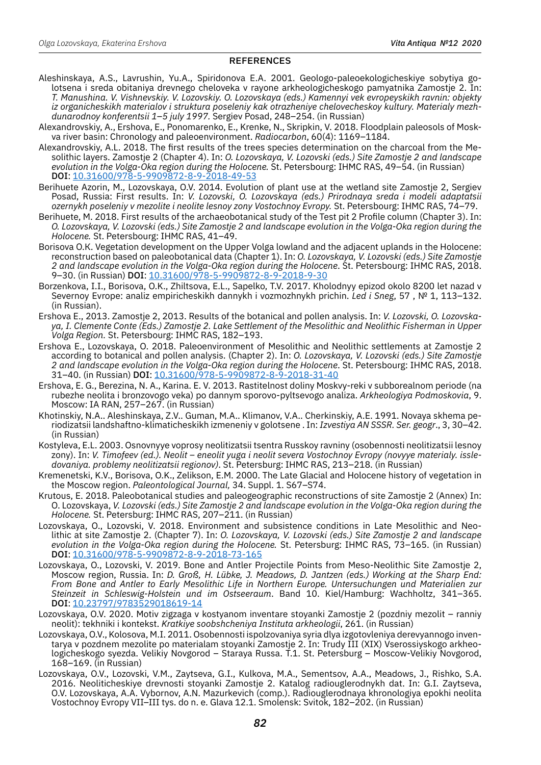### **REFERENCES**

- Aleshinskaya, A.S., Lavrushin, Yu.A., Spiridonova E.A. 2001. Geologo-paleoekologicheskiye sobytiya golotsena i sreda obitaniya drevnego cheloveka v rayone arkheologicheskogo pamyatnika Zamostje 2. In: *T. Manushina. V. Vishnevskiy. V. Lozovskiy. O. Lozovskaya (eds.) Kamennyi vek evropeyskikh ravnin: objekty iz organicheskikh materialov i struktura poseleniy kak otrazheniye chelovecheskoy kultury. Materialy mezhdunarodnoy konferentsii 1*–*5 july 1997.* Sergiev Posad, 248–254. (in Russian)
- Alexandrovskiy, A., Ershova, E., Ponomarenko, E., Krenke, N., Skripkin, V. 2018. Floodplain paleosols of Moskva river basin: Chronology and paleoenvironment. *Radiocarbon*, 60(4): 1169–1184.
- Alexandrovskiy, A.L. 2018. The first results of the trees species determination on the charcoal from the Mesolithic layers. Zamostje 2 (Chapter 4). In: *O. Lozovskaya, V. Lozovski (eds.) Site Zamostje 2 and landscape evolution in the Volga-Oka region during the Holocene.* St. Petersbourg: IHMC RAS, 49–54. (in Russian) DOI[: 10.31600/978-5-9909872-8-9-2018-49-53](https://doi.org/10.31600/978-5-9909872-8-9-2018-49-53)
- Berihuete Azorin, M., Lozovskaya, O.V. 2014. Evolution of plant use at the wetland site Zamostje 2, Sergiev Posad, Russia: First results. In: *V. Lozovski, O. Lozovskaya (eds.) Prirodnaya sreda i modeli adaptatsii ozernykh poseleniy v mezolite i neolite lesnoy zony Vostochnoy Evropy.* St. Petersbourg: IHMC RAS, 74–79.
- Berihuete, M. 2018. First results of the archaeobotanical study of the Test pit 2 Profile column (Chapter 3). In: *O. Lozovskaya, V. Lozovski (eds.) Site Zamostje 2 and landscape evolution in the Volga-Oka region during the Holocene.* St. Petersbourg: IHMC RAS, 41–49.
- Borisova О.К. Vegetation development on the Upper Volga lowland and the adjacent uplands in the Holocene: reconstruction based on paleobotanical data (Chapter 1). In: *O. Lozovskaya, V. Lozovski (eds.) Site Zamostje 2 and landscape evolution in the Volga-Oka region during the Holocene*. St. Petersbourg: IHMC RAS, 2018. 9-30. (in Russian) DOI: [10.31600/978-5-9909872-8-9-2018-9-30](https://doi.org/10.31600/978-5-9909872-8-9-2018-9-30)
- Borzenkova, I.I., Borisova, O.K., Zhiltsova, E.L., Sapelko, T.V. 2017. Kholodnyy epizod okolo 8200 let nazad v Severnoy Evrope: analiz empiricheskikh dannykh i vozmozhnykh prichin. *Led i Sneg*, 57 , № 1, 113–132. (in Russian).
- Ershova E., 2013. Zamostje 2, 2013. Results of the botanical and pollen analysis. In: *V. Lozovski, O. Lozovskaya, I. Clemente Conte (Eds.) Zamostje 2. Lake Settlement of the Mesolithic and Neolithic Fisherman in Upper Volga Region.* St. Petersbourg: IHMC RAS, 182–193.
- Ershova E., Lozovskaya, O. 2018. Paleoenvironment of Mesolithic and Neolithic settlements at Zamostje 2 according to botanical and pollen analysis. (Chapter 2). In: *O. Lozovskaya, V. Lozovski (eds.) Site Zamostje 2 and landscape evolution in the Volga-Oka region during the Holocene*. St. Petersbourg: IHMC RAS, 2018. 31-40. (in Russian) DOI[: 10.31600/978-5-9909872-8-9-2018-31-40](https://doi.org/10.31600/978-5-9909872-8-9-2018-31-40)
- Ershova, E. G., Berezina, N. A., Karina. E. V. 2013. Rastitelnost doliny Moskvy-reki v subborealnom periode (na rubezhe neolita i bronzovogo veka) po dannym sporovo-pyltsevogo analiza. *Arkheologiya Podmoskovia*, 9. Moscow: IA RAN, 257–267. (in Russian)
- Khotinskiy, N.A.. Aleshinskaya, Z.V.. Guman, M.A.. Klimanov, V.A.. Cherkinskiy, A.E. 1991. Novaya skhema periodizatsii landshaftno-klimaticheskikh izmeneniy v golotsene . In: *Izvestiya AN SSSR. Ser. geogr*., 3, 30–42. (in Russian)
- Kostyleva, E.L. 2003. Osnovnyye voprosy neolitizatsii tsentra Russkoy ravniny (osobennosti neolitizatsii lesnoy zony). In: *V. Timofeev (ed.). Neolit – eneolit yuga i neolit severa Vostochnoy Evropy (novyye materialy. issledovaniya. problemy neolitizatsii regionov)*. St. Petersburg: IHMC RAS, 213–218. (in Russian)
- Kremenetski, K.V., Borisova, O.K., Zelikson, E.M. 2000. The Late Glacial and Holocene history of vegetation in the Moscow region. *Paleontological Journal,* 34. Suppl. 1. S67–S74.
- Krutous, E. 2018. Paleobotanical studies and paleogeographic reconstructions of site Zamostje 2 (Annex) In: O. Lozovskaya, *V. Lozovski (eds.) Site Zamostje 2 and landscape evolution in the Volga-Oka region during the Holocene.* St. Petersburg: IHMC RAS, 207–211. (in Russian)
- Lozovskaya, O., Lozovski, V. 2018. Environment and subsistence conditions in Late Mesolithic and Neolithic at site Zamostje 2. (Chapter 7). In: *O. Lozovskaya, V. Lozovski (eds.) Site Zamostje 2 and landscape evolution in the Volga-Oka region during the Holocene.* St. Petersburg: IHMC RAS, 73–165. (in Russian) DOI[: 10.31600/978-5-9909872-8-9-2018-73-165](https://doi.org/10.31600/978-5-9909872-8-9-2018-73-165)
- Lozovskaya, O., Lozovski, V. 2019. Bone and Antler Projectile Points from Meso-Neolithic Site Zamostje 2, Moscow region, Russia. In: *D. Groß, H. Lübke, J. Meadows, D. Jantzen (eds.) Working at the Sharp End: From Bone and Antler to Early Mesolithic Life in Northern Europe. Untersuchungen und Materialien zur Steinzeit in Schleswig-Holstein und im Ostseeraum*. Band 10. Kiel/Hamburg: Wachholtz, 341–365. DOI: [10.23797/9783529018619-14](https://doi.org/10.23797/9783529018619-14
)
- Lozovskaya, O.V. 2020. Motiv zigzaga v kostyanom inventare stoyanki Zamostje 2 (pozdniy mezolit ranniy neolit): tekhniki i kontekst. *Kratkiye soobshcheniya Instituta arkheologii*, 261. (in Russian)
- Lozovskaya, O.V., Kolosova, M.I. 2011. Osobennosti ispolzovaniya syria dlya izgotovleniya derevyannogo inventarya v pozdnem mezolite po materialam stoyanki Zamostje 2. In: Trudy III (XIX) Vserossiyskogo arkheologicheskogo syezda. Velikiy Novgorod – Staraya Russa. T.1. St. Petersburg – Moscow-Velikiy Novgorod, 168–169. (in Russian)
- Lozovskaya, O.V., Lozovski, V.M., Zaytseva, G.I., Kulkova, M.A., Sementsov, A.A., Meadows, J., Rishko, S.A. 2016. Neoliticheskiye drevnosti stoyanki Zamostje 2. Katalog radiouglerodnykh dat. In: G.I. Zaytseva, O.V. Lozovskaya, A.A. Vybornov, A.N. Mazurkevich (comp.). Radiouglerodnaya khronologiya epokhi neolita Vostochnoy Evropy VII–III tys. do n. e. Glava 12.1. Smolensk: Svitok, 182–202. (in Russian)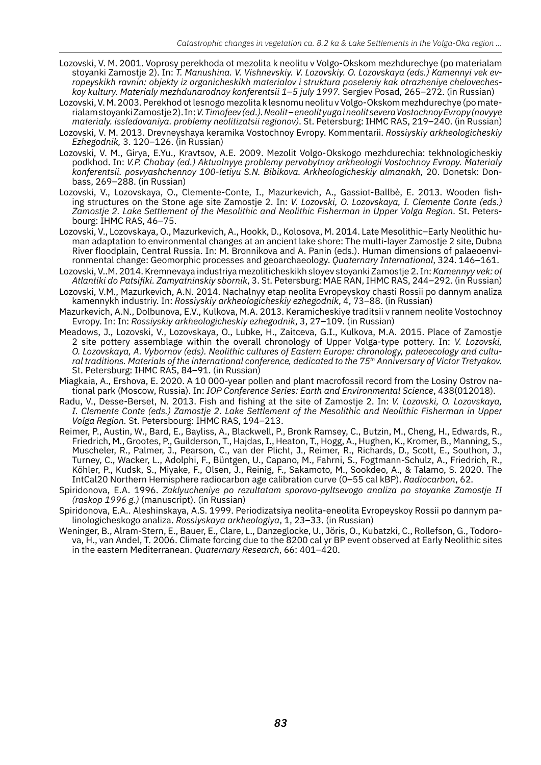- Lozovski, V. М. 2001. Voprosy perekhoda ot mezolita k neolitu v Volgo-Okskom mezhdurechye (po materialam stoyanki Zamostje 2). In: *T. Manushina. V. Vishnevskiy. V. Lozovskiy. O. Lozovskaya (eds.) Kamennyi vek evropeyskikh ravnin: objekty iz organicheskikh materialov i struktura poseleniy kak otrazheniye chelovecheskoy kultury. Materialy mezhdunarodnoy konferentsii 1*–*5 july 1997.* Sergiev Posad, 265–272. (in Russian)
- Lozovski, V. М. 2003. Perekhod ot lesnogo mezolita k lesnomu neolitu v Volgo-Okskom mezhdurechye (po materialam stoyanki Zamostje 2). In: *V. Timofeev (ed.). Neolit – eneolit yuga i neolit severa Vostochnoy Evropy (novyye materialy. issledovaniya. problemy neolitizatsii regionov)*. St. Petersburg: IHMC RAS, 219–240. (in Russian)
- Lozovski, V. М. 2013. Drevneyshaya keramika Vostochnoy Evropy. Kommentarii. *Rossiyskiy arkheologicheskiy Ezhegodnik,* 3. 120–126. (in Russian)
- Lozovski, V. М., Girya, E.Yu., Kravtsov, A.E. 2009. Mezolit Volgo-Okskogo mezhdurechia: tekhnologicheskiy podkhod. In: *V.P. Chabay (ed.) Aktualnyye problemy pervobytnoy arkheologii Vostochnoy Evropy. Materialy konferentsii. posvyashchennoy 100-letiyu S.N. Bibikova. Arkheologicheskiy almanakh,* 20. Donetsk: Donbass, 269–288. (in Russian)
- Lozovski, V., Lozovskaya, O., Clemente-Conte, I., Mazurkevich, A., Gassiot-Ballbè, E. 2013. Wooden fishing structures on the Stone age site Zamostje 2. In: *V. Lozovski, O. Lozovskaya, I. Clemente Conte (eds.) Zamostje 2. Lake Settlement of the Mesolithic and Neolithic Fisherman in Upper Volga Region.* St. Petersbourg: IHMC RAS, 46–75.
- Lozovski, V., Lozovskaya, O., Mazurkevich, A., Hookk, D., Kolosova, M. 2014. Late Mesolithic–Early Neolithic human adaptation to environmental changes at an ancient lake shore: The multi-layer Zamostje 2 site, Dubna River floodplain, Central Russia. In: M. Bronnikova and A. Panin (eds.). Human dimensions of palaeoenvironmental change: Geomorphic processes and geoarchaeology. *Quaternary International*, 324. 146–161.
- Lozovski, V..М. 2014. Kremnevaya industriya mezoliticheskikh sloyev stoyanki Zamostje 2. In: *Kamennyy vek: ot Atlantiki do Patsifiki. Zamyatninskiy sbornik*, 3. St. Petersburg: MAE RAN, IHMC RAS, 244–292. (in Russian)
- Lozovski, V.М., Mazurkevich, A.N. 2014. Nachalnyy etap neolita Evropeyskoy chasti Rossii po dannym analiza kamennykh industriy. In: *Rossiyskiy arkheologicheskiy ezhegodnik*, 4, 73–88. (in Russian)
- Mazurkevich, A.N., Dolbunova, E.V., Kulkova, M.A. 2013. Keramicheskiye traditsii v rannem neolite Vostochnoy Evropy. In: In: *Rossiyskiy arkheologicheskiy ezhegodnik*, 3, 27–109. (in Russian)
- Meadows, J., Lozovski, V., Lozovskaya, O., Lubke, H., Zaitceva, G.I., Kulkova, M.A. 2015. Place of Zamostje 2 site pottery assemblage within the overall chronology of Upper Volga-type pottery. In: *V. Lozovski, O. Lozovskaya, A. Vybornov (eds). Neolithic cultures of Eastern Europe: chronology, paleoecology and cultural traditions. Materials of the international conference, dedicated to the 75th Anniversary of Victor Tretyakov.* St. Petersburg: IHMC RAS, 84–91. (in Russian)
- Miagkaia, A., Ershova, E. 2020. A 10 000-year pollen and plant macrofossil record from the Losiny Ostrov national park (Мoscow, Russia). In: *IOP Conference Series: Earth and Environmental Science*, 438(012018).
- Radu, V., Desse-Berset, N. 2013. Fish and fishing at the site of Zamostje 2. In: *V. Lozovski, O. Lozovskaya, I. Clemente Conte (eds.) Zamostje 2. Lake Settlement of the Mesolithic and Neolithic Fisherman in Upper Volga Region.* St. Petersbourg: IHMC RAS, 194–213.
- Reimer, P., Austin, W., Bard, E., Bayliss, A., Blackwell, P., Bronk Ramsey, C., Butzin, M., Cheng, H., Edwards, R., Friedrich, M., Grootes, P., Guilderson, T., Hajdas, I., Heaton, T., Hogg, A., Hughen, K., Kromer, B., Manning, S., Muscheler, R., Palmer, J., Pearson, C., van der Plicht, J., Reimer, R., Richards, D., Scott, E., Southon, J., Turney, C., Wacker, L., Adolphi, F., Büntgen, U., Capano, M., Fahrni, S., Fogtmann-Schulz, A., Friedrich, R., Köhler, P., Kudsk, S., Miyake, F., Olsen, J., Reinig, F., Sakamoto, M., Sookdeo, A., & Talamo, S. 2020. The IntCal20 Northern Hemisphere radiocarbon age calibration curve (0–55 cal kBP). *Radiocarbon*, 62.
- Spiridonova, E.A. 1996. *Zaklyucheniye po rezultatam sporovo-pyltsevogo analiza po stoyanke Zamostje II (raskop 1996 g.)* (manuscript). (in Russian)
- Spiridonova, E.A.. Aleshinskaya, A.S. 1999. Periodizatsiya neolita-eneolita Evropeyskoy Rossii po dannym palinologicheskogo analiza. *Rossiyskaya arkheologiya*, 1, 23–33. (in Russian)
- Weninger, B., Alram-Stern, E., Bauer, E., Clare, L., Danzeglocke, U., Jöris, O., Kubatzki, C., Rollefson, G., Todorova, H., van Andel, T. 2006. Climate forcing due to the 8200 cal yr BP event observed at Early Neolithic sites in the eastern Mediterranean. *Quaternary Research*, 66: 401–420.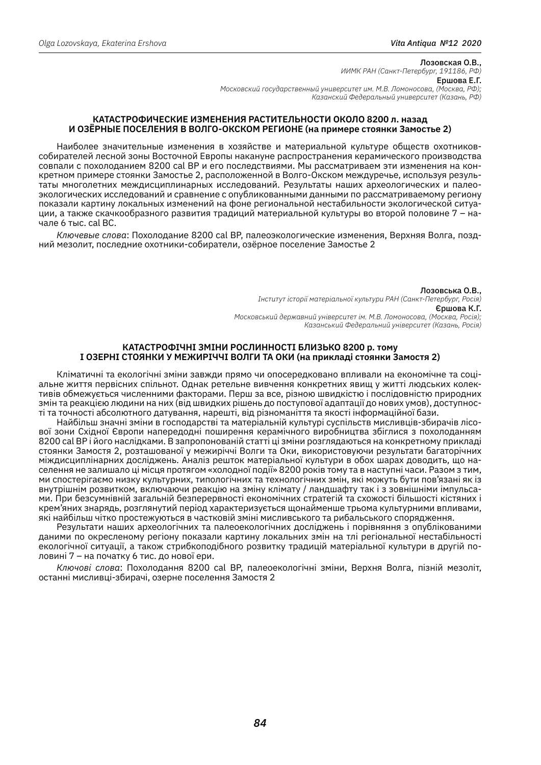#### Лозовская О.В., *ИИМК РАН (Санкт-Петербург, 191186, РФ)* Ершова Е.Г. *Московский государственный университет им. М.В. Ломоносова, (Москва, РФ); Казанский Федеральный университет (Казань, РФ)*

#### **КАТАСТРОФИЧЕСКИЕ ИЗМЕНЕНИЯ РАСТИТЕЛЬНОСТИ ОКОЛО 8200 л. назад и ОЗЁРНЫЕ ПОСЕЛЕНИЯ В ВОЛГО-ОКСКОМ РЕГИОНЕ (на примере стоянки Замостье 2)**

Наиболее значительные изменения в хозяйстве и материальной культуре обществ охотниковсобирателей лесной зоны Восточной Европы накануне распространения керамического производства совпали с похолоданием 8200 cal BP и его последствиями. Мы рассматриваем эти изменения на конкретном примере стоянки Замостье 2, расположенной в Волго-Окском междуречье, используя результаты многолетних междисциплинарных исследований. Результаты наших археологических и палеоэкологических исследований и сравнение с опубликованными данными по рассматриваемому региону показали картину локальных изменений на фоне региональной нестабильности экологической ситуации, а также скачкообразного развития традиций материальной культуры во второй половине 7 – начале 6 тыс. cal BC.

*Ключевые слова*: Похолодание 8200 cal BP, палеоэкологические изменения, Верхняя Волга, поздний мезолит, последние охотники-собиратели, озёрное поселение Замостье 2

> Лозовська О.В., *Інститут історії матеріальної культури РАН (Санкт-Петербург, Росія)* Єршова К.Г. *Московський державний університет ім. М.В. Ломоносова, (Москва, Росія); Казанський Федеральний університет (Казань, Росія)*

#### **КАТАСТРОФІЧНІ ЗМІНИ РОСЛИННОСТІ БЛИЗЬКО 8200 р. тому і ОЗЕРНІ СТОЯНКИ У МЕЖИРІЧЧІ ВОЛГИ ТА ОКИ (на прикладі стоянки Замостя 2)**

Кліматичні та екологічні зміни завжди прямо чи опосередковано впливали на економічне та соціальне життя первісних спільнот. Однак ретельне вивчення конкретних явищ у житті людських колективів обмежується численними факторами. Перш за все, різною швидкістю і послідовністю природних змін та реакцією людини на них (від швидких рішень до поступової адаптації до нових умов), доступності та точності абсолютного датування, нарешті, від різноманіття та якості інформаційної бази.

Найбільш значні зміни в господарстві та матеріальній культурі суспільств мисливців-збирачів лісової зони Східної Європи напередодні поширення керамічного виробництва збіглися з похолоданням 8200 cal BP і його наслідками. В запропонованій статті ці зміни розглядаються на конкретному прикладі стоянки Замостя 2, розташованої у межиріччі Волги та Оки, використовуючи результати багаторічних міждисциплінарних досліджень. Аналіз решток матеріальної культури в обох шарах доводить, що населення не залишало ці місця протягом «холодної події» 8200 років тому та в наступні часи. Разом з тим, ми спостерігаємо низку культурних, типологічних та технологічних змін, які можуть бути пов'язані як із внутрішнім розвитком, включаючи реакцію на зміну клімату / ландшафту так і з зовнішніми імпульсами. При безсумнівній загальній безперервності економічних стратегій та схожості більшості кістяних і крем'яних знарядь, розглянутий період характеризується щонайменше трьома культурними впливами, які найбільш чітко простежуються в частковій зміні мисливського та рибальського спорядження.

Результати наших археологічних та палеоекологічних досліджень і порівняння з опублікованими даними по окресленому регіону показали картину локальних змін на тлі регіональної нестабільності екологічної ситуації, а також стрибкоподібного розвитку традицій матеріальної культури в другій половині 7 – на початку 6 тис. до нової ери.

*Ключові слова*: Похолодання 8200 cal BP, палеоекологічні зміни, Верхня Волга, пізній мезоліт, останні мисливці-збирачі, озерне поселення Замостя 2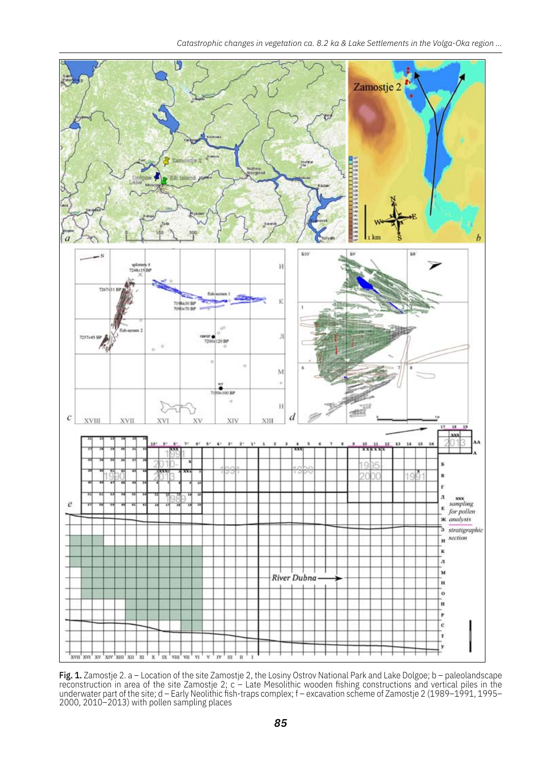

Fig. 1. Zamostje 2. a – Location of the site Zamostje 2, the Losiny Ostrov National Park and Lake Dolgoe; b – paleolandscape reconstruction in area of the site Zamostje 2; c – Late Mesolithic wooden fishing constructions and vertical piles in the underwater part of the site; d – Early Neolithic fish-traps complex; f – excavation scheme of Zamostje 2 (1989–1991, 1995– 2000, 2010–2013) with pollen sampling places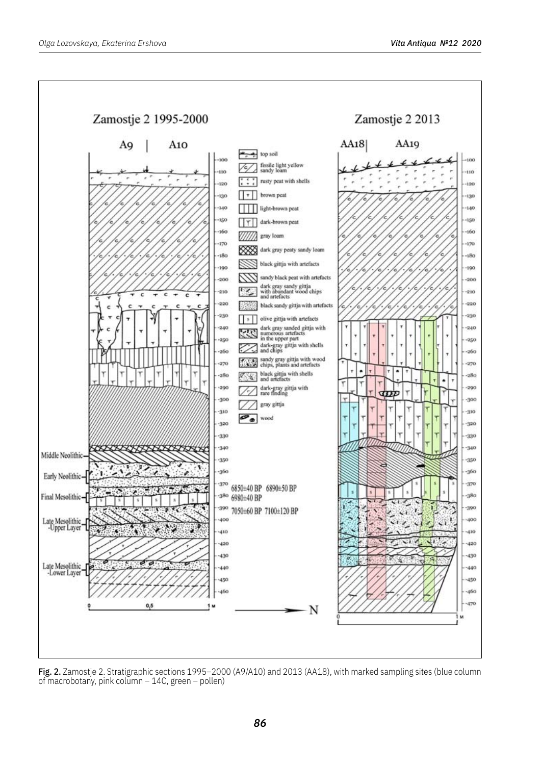

Fig. 2. Zamostje 2. Stratigraphic sections 1995–2000 (A9/A10) and 2013 (AA18), with marked sampling sites (blue column of macrobotany, pink column  $-14C$ , green – pollen)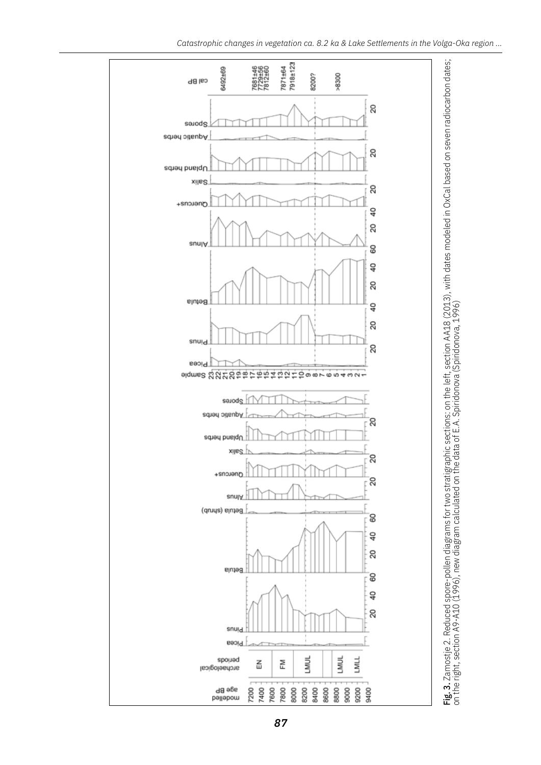

*87*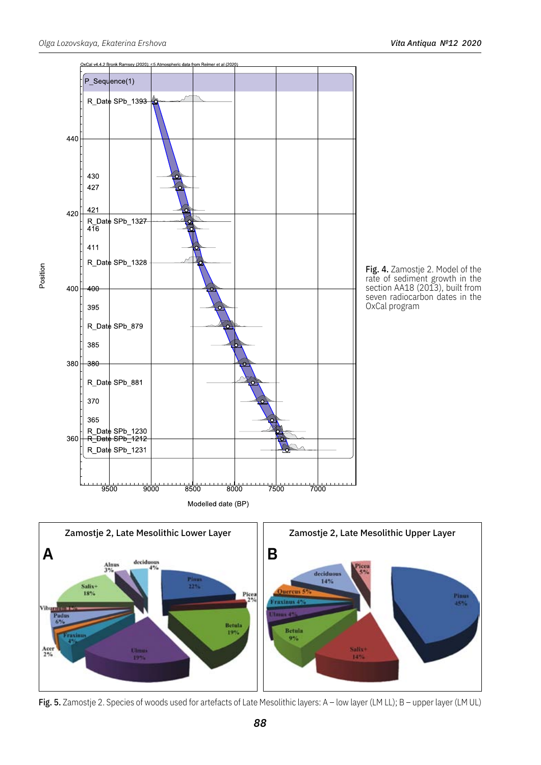



Fig. 5. Zamostje 2. Species of woods used for artefacts of Late Mesolithic layers: A - low layer (LM LL); B - upper layer (LM UL)

Position